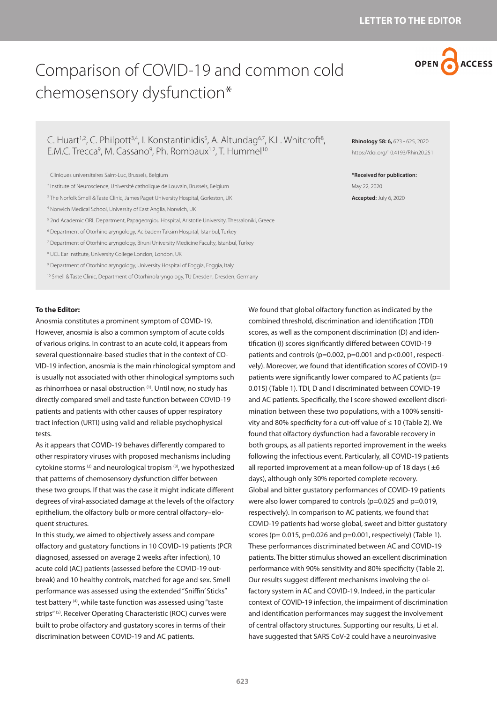

# Comparison of COVID-19 and common cold chemosensory dysfunction\*

# C. Huart<sup>1,2</sup>, C. Philpott<sup>3,4</sup>, I. Konstantinidis<sup>5</sup>, A. Altundag<sup>6,7</sup>, K.L. Whitcroft<sup>8</sup>, E.M.C. Trecca<sup>9</sup>, M. Cassano<sup>9</sup>, Ph. Rombaux<sup>1,2</sup>, T. Hummel<sup>10</sup>

- 2 Institute of Neuroscience, Université catholique de Louvain, Brussels, Belgium
- <sup>3</sup> The Norfolk Smell & Taste Clinic, James Paget University Hospital, Gorleston, UK
- 4 Norwich Medical School, University of East Anglia, Norwich, UK
- 5 2nd Academic ORL Department, Papageorgiou Hospital, Aristotle University, Thessaloniki, Greece
- 6 Department of Otorhinolaryngology, Acibadem Taksim Hospital, Istanbul, Turkey
- 7 Department of Otorhinolaryngology, Biruni University Medicine Faculty, Istanbul, Turkey
- 8 UCL Ear Institute, University College London, London, UK
- 9 Department of Otorhinolaryngology, University Hospital of Foggia, Foggia, Italy
- 10 Smell & Taste Clinic, Department of Otorhinolaryngology, TU Dresden, Dresden, Germany

#### **To the Editor:**

Anosmia constitutes a prominent symptom of COVID-19. However, anosmia is also a common symptom of acute colds of various origins. In contrast to an acute cold, it appears from several questionnaire-based studies that in the context of CO-VID-19 infection, anosmia is the main rhinological symptom and is usually not associated with other rhinological symptoms such as rhinorrhoea or nasal obstruction (1). Until now, no study has directly compared smell and taste function between COVID-19 patients and patients with other causes of upper respiratory tract infection (URTI) using valid and reliable psychophysical tests.

As it appears that COVID-19 behaves differently compared to other respiratory viruses with proposed mechanisms including cytokine storms (2) and neurological tropism (3), we hypothesized that patterns of chemosensory dysfunction differ between these two groups. If that was the case it might indicate different degrees of viral-associated damage at the levels of the olfactory epithelium, the olfactory bulb or more central olfactory–eloquent structures.

In this study, we aimed to objectively assess and compare olfactory and gustatory functions in 10 COVID-19 patients (PCR diagnosed, assessed on average 2 weeks after infection), 10 acute cold (AC) patients (assessed before the COVID-19 outbreak) and 10 healthy controls, matched for age and sex. Smell performance was assessed using the extended "Sniffin' Sticks" test battery (4), while taste function was assessed using "taste strips" (5). Receiver Operating Characteristic (ROC) curves were built to probe olfactory and gustatory scores in terms of their discrimination between COVID-19 and AC patients.

**Rhinology 58: 6,** 623 - 625, 2020 https://doi.org/10.4193/Rhin20.251

**\*Received for publication:** May 22, 2020 **Accepted:** July 6, 2020

We found that global olfactory function as indicated by the combined threshold, discrimination and identification (TDI) scores, as well as the component discrimination (D) and identification (I) scores significantly differed between COVID-19 patients and controls (p=0.002, p=0.001 and p<0.001, respectively). Moreover, we found that identification scores of COVID-19 patients were significantly lower compared to AC patients (p= 0.015) (Table 1). TDI, D and I discriminated between COVID-19 and AC patients. Specifically, the I score showed excellent discrimination between these two populations, with a 100% sensitivity and 80% specificity for a cut-off value of ≤ 10 (Table 2). We found that olfactory dysfunction had a favorable recovery in both groups, as all patients reported improvement in the weeks following the infectious event. Particularly, all COVID-19 patients all reported improvement at a mean follow-up of 18 days ( $\pm 6$ days), although only 30% reported complete recovery. Global and bitter gustatory performances of COVID-19 patients were also lower compared to controls (p=0.025 and p=0.019, respectively). In comparison to AC patients, we found that COVID-19 patients had worse global, sweet and bitter gustatory scores ( $p= 0.015$ ,  $p=0.026$  and  $p=0.001$ , respectively) (Table 1). These performances discriminated between AC and COVID-19 patients. The bitter stimulus showed an excellent discrimination performance with 90% sensitivity and 80% specificity (Table 2). Our results suggest different mechanisms involving the olfactory system in AC and COVID-19. Indeed, in the particular context of COVID-19 infection, the impairment of discrimination and identification performances may suggest the involvement of central olfactory structures. Supporting our results, Li et al. have suggested that SARS CoV-2 could have a neuroinvasive

<sup>1</sup> Cliniques universitaires Saint-Luc, Brussels, Belgium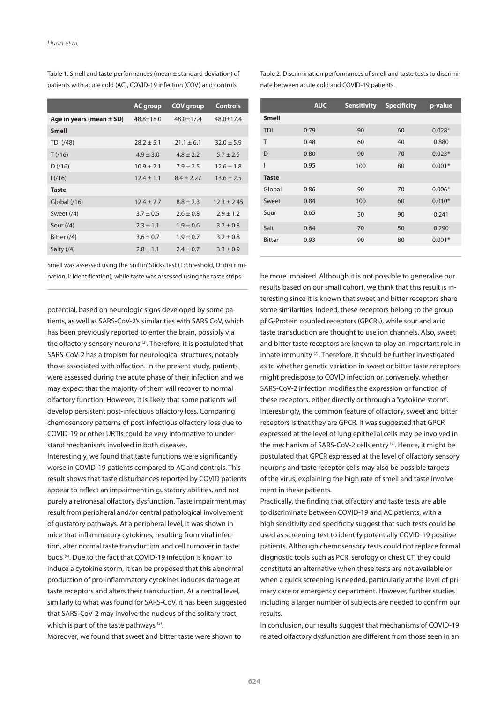|                              | <b>AC group</b> | <b>COV</b> group | <b>Controls</b> |
|------------------------------|-----------------|------------------|-----------------|
| Age in years (mean $\pm$ SD) | $48.8 \pm 18.0$ | $48.0 \pm 17.4$  | $48.0 \pm 17.4$ |
| <b>Smell</b>                 |                 |                  |                 |
| TDI (/48)                    | $28.2 \pm 5.1$  | $21.1 \pm 6.1$   | $32.0 \pm 5.9$  |
| T(16)                        | $4.9 \pm 3.0$   | $4.8 \pm 2.2$    | $5.7 \pm 2.5$   |
| D(16)                        | $10.9 \pm 2.1$  | $7.9 \pm 2.5$    | $12.6 \pm 1.8$  |
| 1/(16)                       | $12.4 \pm 1.1$  | $8.4 \pm 2.27$   | $13.6 \pm 2.5$  |
| <b>Taste</b>                 |                 |                  |                 |
| Global $(16)$                | $12.4 \pm 2.7$  | $8.8 \pm 2.3$    | $12.3 \pm 2.45$ |
| Sweet $(4)$                  | $3.7 \pm 0.5$   | $2.6 \pm 0.8$    | $2.9 \pm 1.2$   |
| Sour $(4)$                   | $2.3 \pm 1.1$   | $1.9 \pm 0.6$    | $3.2 \pm 0.8$   |
| Bitter (/4)                  | $3.6 \pm 0.7$   | $1.9 \pm 0.7$    | $3.2 \pm 0.8$   |
| Salty $(74)$                 | $2.8 \pm 1.1$   | $2.4 \pm 0.7$    | $3.3 \pm 0.9$   |
|                              |                 |                  |                 |

Table 1. Smell and taste performances (mean ± standard deviation) of patients with acute cold (AC), COVID-19 infection (COV) and controls.

Smell was assessed using the Sniffin' Sticks test (T: threshold, D: discrimination, I: Identification), while taste was assessed using the taste strips.

potential, based on neurologic signs developed by some patients, as well as SARS-CoV-2's similarities with SARS CoV, which has been previously reported to enter the brain, possibly via the olfactory sensory neurons<sup>(3)</sup>. Therefore, it is postulated that SARS-CoV-2 has a tropism for neurological structures, notably those associated with olfaction. In the present study, patients were assessed during the acute phase of their infection and we may expect that the majority of them will recover to normal olfactory function. However, it is likely that some patients will develop persistent post-infectious olfactory loss. Comparing chemosensory patterns of post-infectious olfactory loss due to COVID-19 or other URTIs could be very informative to understand mechanisms involved in both diseases.

Interestingly, we found that taste functions were significantly worse in COVID-19 patients compared to AC and controls. This result shows that taste disturbances reported by COVID patients appear to reflect an impairment in gustatory abilities, and not purely a retronasal olfactory dysfunction. Taste impairment may result from peripheral and/or central pathological involvement of gustatory pathways. At a peripheral level, it was shown in mice that inflammatory cytokines, resulting from viral infection, alter normal taste transduction and cell turnover in taste buds (6). Due to the fact that COVID-19 infection is known to induce a cytokine storm, it can be proposed that this abnormal production of pro-inflammatory cytokines induces damage at taste receptors and alters their transduction. At a central level, similarly to what was found for SARS-CoV, it has been suggested that SARS-CoV-2 may involve the nucleus of the solitary tract, which is part of the taste pathways  $(3)$ .

Moreover, we found that sweet and bitter taste were shown to

Table 2. Discrimination performances of smell and taste tests to discriminate between acute cold and COVID-19 patients.

|               | <b>AUC</b> | <b>Sensitivity</b> | <b>Specificity</b> | p-value  |
|---------------|------------|--------------------|--------------------|----------|
| <b>Smell</b>  |            |                    |                    |          |
| <b>TDI</b>    | 0.79       | 90                 | 60                 | $0.028*$ |
| T             | 0.48       | 60                 | 40                 | 0.880    |
| D             | 0.80       | 90                 | 70                 | $0.023*$ |
| I             | 0.95       | 100                | 80                 | $0.001*$ |
| <b>Taste</b>  |            |                    |                    |          |
| Global        | 0.86       | 90                 | 70                 | $0.006*$ |
| Sweet         | 0.84       | 100                | 60                 | $0.010*$ |
| Sour          | 0.65       | 50                 | 90                 | 0.241    |
| Salt          | 0.64       | 70                 | 50                 | 0.290    |
| <b>Bitter</b> | 0.93       | 90                 | 80                 | $0.001*$ |
|               |            |                    |                    |          |

be more impaired. Although it is not possible to generalise our results based on our small cohort, we think that this result is interesting since it is known that sweet and bitter receptors share some similarities. Indeed, these receptors belong to the group pf G-Protein coupled receptors (GPCRs), while sour and acid taste transduction are thought to use ion channels. Also, sweet and bitter taste receptors are known to play an important role in innate immunity  $(7)$ . Therefore, it should be further investigated as to whether genetic variation in sweet or bitter taste receptors might predispose to COVID infection or, conversely, whether SARS-CoV-2 infection modifies the expression or function of these receptors, either directly or through a "cytokine storm". Interestingly, the common feature of olfactory, sweet and bitter receptors is that they are GPCR. It was suggested that GPCR expressed at the level of lung epithelial cells may be involved in the mechanism of SARS-CoV-2 cells entry (8). Hence, it might be postulated that GPCR expressed at the level of olfactory sensory neurons and taste receptor cells may also be possible targets of the virus, explaining the high rate of smell and taste involvement in these patients.

Practically, the finding that olfactory and taste tests are able to discriminate between COVID-19 and AC patients, with a high sensitivity and specificity suggest that such tests could be used as screening test to identify potentially COVID-19 positive patients. Although chemosensory tests could not replace formal diagnostic tools such as PCR, serology or chest CT, they could constitute an alternative when these tests are not available or when a quick screening is needed, particularly at the level of primary care or emergency department. However, further studies including a larger number of subjects are needed to confirm our results.

In conclusion, our results suggest that mechanisms of COVID-19 related olfactory dysfunction are different from those seen in an